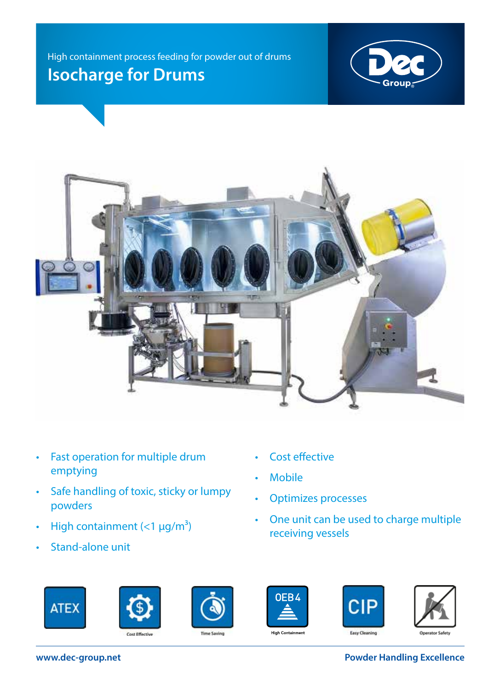High containment process feeding for powder out of drums **Isocharge for Drums**





- Fast operation for multiple drum emptying
- Safe handling of toxic, sticky or lumpy powders
- High containment  $(<1 \mu g/m^3)$
- Stand-alone unit
- Cost effective
- Mobile
- Optimizes processes
- One unit can be used to charge multiple receiving vessels













**www.dec-group.net Powder Handling Excellence**